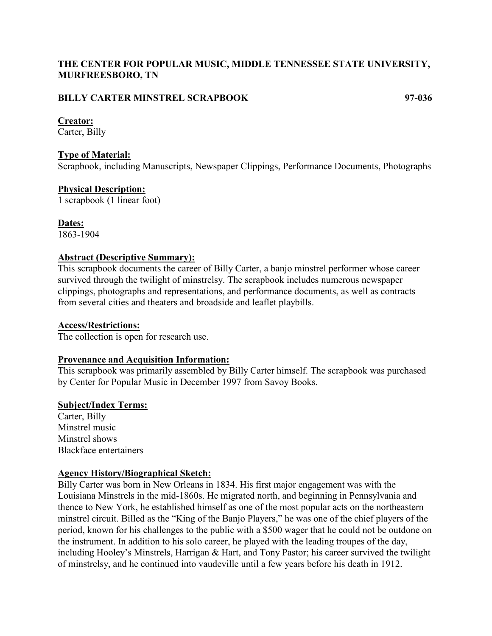# **THE CENTER FOR POPULAR MUSIC, MIDDLE TENNESSEE STATE UNIVERSITY, MURFREESBORO, TN**

# **BILLY CARTER MINSTREL SCRAPBOOK 97-036**

### **Creator:**

Carter, Billy

# **Type of Material:**

Scrapbook, including Manuscripts, Newspaper Clippings, Performance Documents, Photographs

# **Physical Description:**

1 scrapbook (1 linear foot)

# **Dates:**

1863-1904

# **Abstract (Descriptive Summary):**

This scrapbook documents the career of Billy Carter, a banjo minstrel performer whose career survived through the twilight of minstrelsy. The scrapbook includes numerous newspaper clippings, photographs and representations, and performance documents, as well as contracts from several cities and theaters and broadside and leaflet playbills.

## **Access/Restrictions:**

The collection is open for research use.

## **Provenance and Acquisition Information:**

This scrapbook was primarily assembled by Billy Carter himself. The scrapbook was purchased by Center for Popular Music in December 1997 from Savoy Books.

## **Subject/Index Terms:**

Carter, Billy Minstrel music Minstrel shows Blackface entertainers

## **Agency History/Biographical Sketch:**

Billy Carter was born in New Orleans in 1834. His first major engagement was with the Louisiana Minstrels in the mid-1860s. He migrated north, and beginning in Pennsylvania and thence to New York, he established himself as one of the most popular acts on the northeastern minstrel circuit. Billed as the "King of the Banjo Players," he was one of the chief players of the period, known for his challenges to the public with a \$500 wager that he could not be outdone on the instrument. In addition to his solo career, he played with the leading troupes of the day, including Hooley's Minstrels, Harrigan & Hart, and Tony Pastor; his career survived the twilight of minstrelsy, and he continued into vaudeville until a few years before his death in 1912.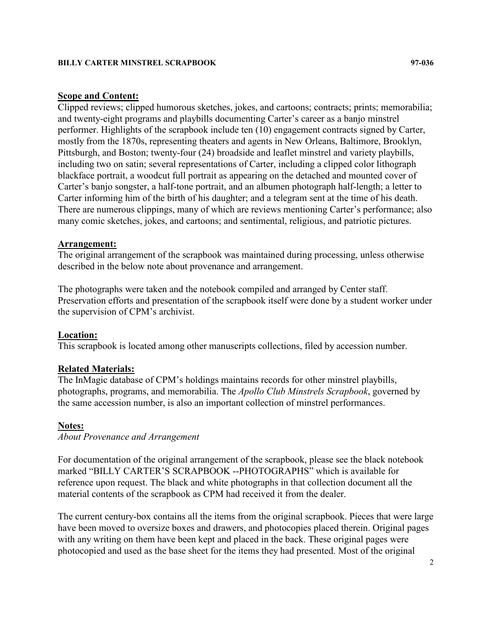#### **BILLY CARTER MINSTREL SCRAPBOOK 97-036**

## **Scope and Content:**

Clipped reviews; clipped humorous sketches, jokes, and cartoons; contracts; prints; memorabilia; and twenty-eight programs and playbills documenting Carter's career as a banjo minstrel performer. Highlights of the scrapbook include ten (10) engagement contracts signed by Carter, mostly from the 1870s, representing theaters and agents in New Orleans, Baltimore, Brooklyn, Pittsburgh, and Boston; twenty-four (24) broadside and leaflet minstrel and variety playbills, including two on satin; several representations of Carter, including a clipped color lithograph blackface portrait, a woodcut full portrait as appearing on the detached and mounted cover of Carter's banjo songster, a half-tone portrait, and an albumen photograph half-length; a letter to Carter informing him of the birth of his daughter; and a telegram sent at the time of his death. There are numerous clippings, many of which are reviews mentioning Carter's performance; also many comic sketches, jokes, and cartoons; and sentimental, religious, and patriotic pictures.

#### **Arrangement:**

The original arrangement of the scrapbook was maintained during processing, unless otherwise described in the below note about provenance and arrangement.

The photographs were taken and the notebook compiled and arranged by Center staff. Preservation efforts and presentation of the scrapbook itself were done by a student worker under the supervision of CPM's archivist.

#### **Location:**

This scrapbook is located among other manuscripts collections, filed by accession number.

#### **Related Materials:**

The InMagic database of CPM's holdings maintains records for other minstrel playbills, photographs, programs, and memorabilia. The *Apollo Club Minstrels Scrapbook*, governed by the same accession number, is also an important collection of minstrel performances.

#### **Notes:**

*About Provenance and Arrangement*

For documentation of the original arrangement of the scrapbook, please see the black notebook marked "BILLY CARTER'S SCRAPBOOK --PHOTOGRAPHS" which is available for reference upon request. The black and white photographs in that collection document all the material contents of the scrapbook as CPM had received it from the dealer.

The current century-box contains all the items from the original scrapbook. Pieces that were large have been moved to oversize boxes and drawers, and photocopies placed therein. Original pages with any writing on them have been kept and placed in the back. These original pages were photocopied and used as the base sheet for the items they had presented. Most of the original